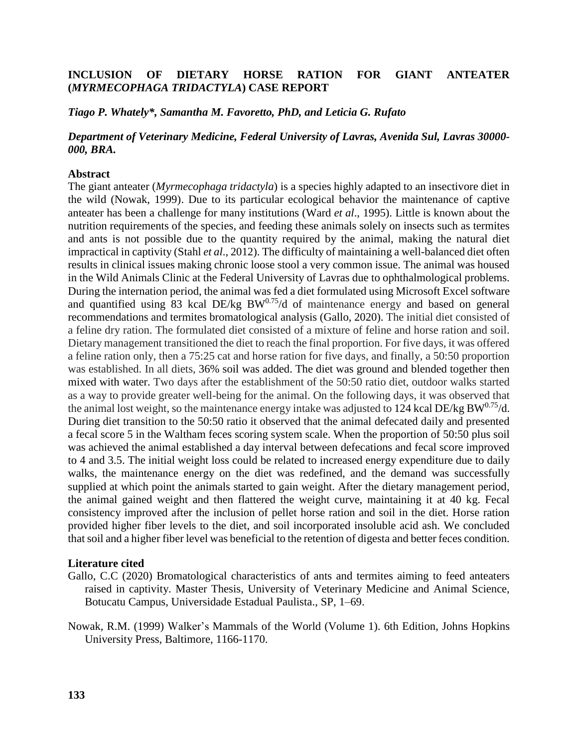## **INCLUSION OF DIETARY HORSE RATION FOR GIANT ANTEATER (***MYRMECOPHAGA TRIDACTYLA***) CASE REPORT**

*Tiago P. Whately\*, Samantha M. Favoretto, PhD, and Leticia G. Rufato*

## *Department of Veterinary Medicine, Federal University of Lavras, Avenida Sul, Lavras 30000- 000, BRA.*

## **Abstract**

The giant anteater (*Myrmecophaga tridactyla*) is a species highly adapted to an insectivore diet in the wild (Nowak, 1999). Due to its particular ecological behavior the maintenance of captive anteater has been a challenge for many institutions (Ward *et al*., 1995). Little is known about the nutrition requirements of the species, and feeding these animals solely on insects such as termites and ants is not possible due to the quantity required by the animal, making the natural diet impractical in captivity (Stahl *et al*., 2012). The difficulty of maintaining a well-balanced diet often results in clinical issues making chronic loose stool a very common issue. The animal was housed in the Wild Animals Clinic at the Federal University of Lavras due to ophthalmological problems. During the internation period, the animal was fed a diet formulated using Microsoft Excel software and quantified using  $83$  kcal DE/kg BW $^{0.75}$ /d of maintenance energy and based on general recommendations and termites bromatological analysis (Gallo, 2020). The initial diet consisted of a feline dry ration. The formulated diet consisted of a mixture of feline and horse ration and soil. Dietary management transitioned the diet to reach the final proportion. For five days, it was offered a feline ration only, then a 75:25 cat and horse ration for five days, and finally, a 50:50 proportion was established. In all diets, 36% soil was added. The diet was ground and blended together then mixed with water. Two days after the establishment of the 50:50 ratio diet, outdoor walks started as a way to provide greater well-being for the animal. On the following days, it was observed that the animal lost weight, so the maintenance energy intake was adjusted to 124 kcal DE/kg BW $^{0.75}$ /d. During diet transition to the 50:50 ratio it observed that the animal defecated daily and presented a fecal score 5 in the Waltham feces scoring system scale. When the proportion of 50:50 plus soil was achieved the animal established a day interval between defecations and fecal score improved to 4 and 3.5. The initial weight loss could be related to increased energy expenditure due to daily walks, the maintenance energy on the diet was redefined, and the demand was successfully supplied at which point the animals started to gain weight. After the dietary management period, the animal gained weight and then flattered the weight curve, maintaining it at 40 kg. Fecal consistency improved after the inclusion of pellet horse ration and soil in the diet. Horse ration provided higher fiber levels to the diet, and soil incorporated insoluble acid ash. We concluded thatsoil and a higher fiber level was beneficial to the retention of digesta and better feces condition.

## **Literature cited**

- Gallo, C.C (2020) Bromatological characteristics of ants and termites aiming to feed anteaters raised in captivity. Master Thesis, University of Veterinary Medicine and Animal Science, Botucatu Campus, Universidade Estadual Paulista., SP, 1–69.
- Nowak, R.M. (1999) Walker's Mammals of the World (Volume 1). 6th Edition, Johns Hopkins University Press, Baltimore, 1166-1170.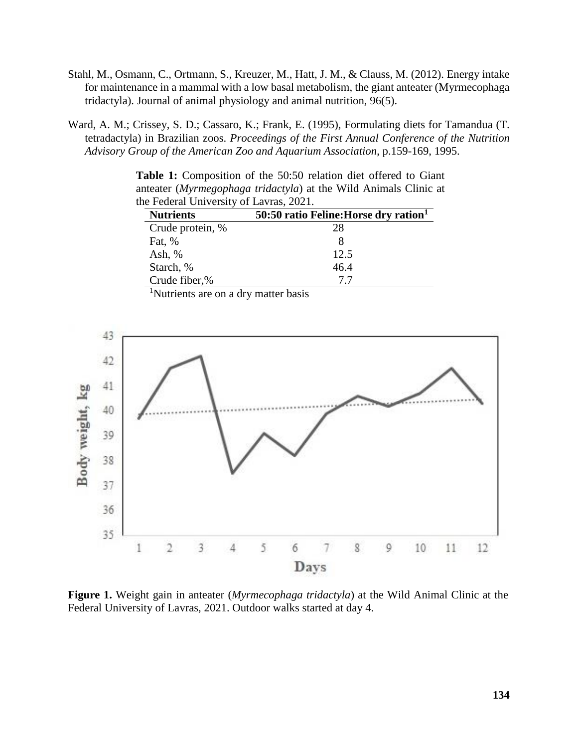- Stahl, M., Osmann, C., Ortmann, S., Kreuzer, M., Hatt, J. M., & Clauss, M. (2012). Energy intake for maintenance in a mammal with a low basal metabolism, the giant anteater (Myrmecophaga tridactyla). Journal of animal physiology and animal nutrition, 96(5).
- Ward, A. M.; Crissey, S. D.; Cassaro, K.; Frank, E. (1995), Formulating diets for Tamandua (T. tetradactyla) in Brazilian zoos. *Proceedings of the First Annual Conference of the Nutrition Advisory Group of the American Zoo and Aquarium Association*, p.159-169, 1995.

**Table 1:** Composition of the 50:50 relation diet offered to Giant anteater (*Myrmegophaga tridactyla*) at the Wild Animals Clinic at the Federal University of Lavras, 2021.

| <b>Nutrients</b> | 50:50 ratio Feline: Horse dry ration <sup>1</sup> |
|------------------|---------------------------------------------------|
| Crude protein, % | 28                                                |
| Fat, %           |                                                   |
| Ash, $%$         | 12.5                                              |
| Starch, %        | 46.4                                              |
| Crude fiber,%    | 77                                                |

<sup>1</sup>Nutrients are on a dry matter basis



**Figure 1.** Weight gain in anteater (*Myrmecophaga tridactyla*) at the Wild Animal Clinic at the Federal University of Lavras, 2021. Outdoor walks started at day 4.